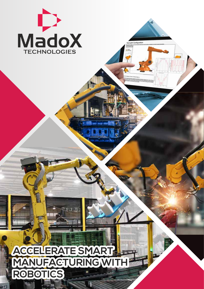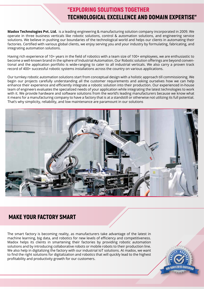# "EXPLORING SOLUTIONS TOGETHER TECHNOLOGICAL EXCELLENCE AND DOMAIN EXPERTISE"

**Madox Technologies Pvt. Ltd.** is a leading engineering & manufacturing solution company incorporated in 2009. We operate in three business verticals like robotic solutions, control & automation solutions, and engineering service solutions. We believe in pushing our boundaries of the technological world and helps our clients in automating their factories. Certified with various global clients, we enjoy serving you and your industry by formulating, fabricating, and integrating automation solutions.

Having rich experience of 10+ years in the field of robotics with a team size of 100+ employees, we are enthusiastic to become a well-known brand in the sphere of Industrial Automation. Our Robotic solution offerings are beyond conventional and the application portfolio is wide-ranging to cater to all industrial verticals. We also carry a proven track record of 400+ successful robotic systems installations across the country on various applications.

Our turnkey robotic automation solutions start from conceptual design with a holistic approach till commissioning. We begin our projects carefully understanding all the customer requirements and asking ourselves how we can help enhance their experience and efficiently integrate a robotic solution into their production. Our experienced in-house team of engineers evaluates the specialized needs of your application while integrating the latest technologies to work with it. We provide hardware and software solutions from the world's leading manufacturers because we know what it means for a manufacturing company to have a factory that is at a standstill or otherwise not utilizing its full potential. That's why simplicity, reliability, and low maintenance are paramount in our solutions



# MAKE YOUR FACTORY SMART

The smart factory is becoming reality, as manufacturers take advantage of the latest in machine learning, big data, and robotics for new levels of efficiency and competitiveness. Madox helps its clients in smartening their factories by providing robotic automation solutions and by introducing collaborative robots or mobile robots to their production line. We also help in digitalizing the factory with our industrial IoT solutions. At madox, we want to find the right solutions for digitalization and robotics that will quickly lead to the highest profitability and productivity growth for our customers.

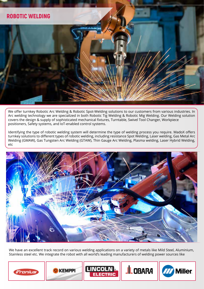

We offer turnkey Robotic Arc Welding & Robotic Spot-Welding solutions to our customers from various industries. In Arc welding technology we are specialized in both Robotic Tig Welding & Robotic Mig Welding. Our Welding solution covers the design & supply of sophisticated mechanical fixtures, Turntable, Swivel Tool Changer, Workpiece positioners, Safety systems, and IoT-enabled control systems.

Identifying the type of robotic welding system will determine the type of welding process you require. MadoX offers turnkey solutions to different types of robotic welding, including resistance Spot Welding, Laser welding, Gas Metal Arc Welding (GMAW), Gas Tungsten Arc Welding (GTAW), Thin Gauge Arc Welding, Plasma welding, Laser Hybrid Welding, etc



We have an excellent track record on various welding applications on a variety of metals like Mild Steel, Aluminium, Stainless steel etc. We integrate the robot with all world's leading manufacturers of welding power sources like

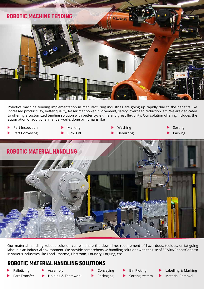

Robotics machine tending implementation in manufacturing industries are going up rapidly due to the benefits like increased productivity, better quality, lesser manpower involvement, safety, overhead reduction, etc. We are dedicated to offering a customized tending solution with better cycle time and great flexibility. Our solution offering includes the automation of additional manual works done by humans like,

- Part Inspection
- Marking
- Part Conveying
- Blow Off



Packing

Sorting



Our material handling robotic solution can eliminate the downtime, requirement of hazardous, tedious, or fatiguing labour in an industrial environment. We provide comprehensive handling solutions with the use of SCARA/Robot/Cobotto in various industries like Food, Pharma, Electronic, Foundry, Forging, etc.

# ROBOTIC MATERIAL HANDLING SOLUTIONS

- Palletizing
- Assembly

ь

- Part Transfer
- Holding & Teamwork
- 
- Conveying
	- Packaging
- Bin Picking
	- Sorting system
- Labelling & Marking
- Material Removal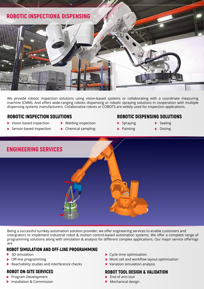

We provide robotic inspection solutions using vision-based systems or collaborating with a coordinate measuring machine (CMM). And offers wide-ranging robotic dispensing or robotic spraying solutions in cooperation with multiple dispensing systems manufacturers. Collaborative robots or COBOTS are widely used for inspection applications.

- Vision based inspection
- Welding inspection
- Sensor-based inspection
- ▶ Chemical sampling

# ROBOTIC INSPECTION SOLUTIONS ROBOTIC DISPENSING SOLUTIONS

- $\blacktriangleright$  Spraying
- $\blacktriangleright$  Painting
- $\blacktriangleright$  Sealing
- **Dosing**



Being a successful turnkey automation solution provider, we offer engineering services to enable customers and intergrators to implement industrial robot & motion control-based automation systems. We offer a complete range of programming solutions along with simulation & analysis for different complex applications. Our major service offerings are

## ROBOT SIMULATION AND OFF-LINE PROGRAMMING

- 3D simulation
- Off-line programming
- Reachability studies and interference checks

## ROBOT ON-SITE SERVICES

- Program Development
- **Installation & Commission**
- Cycle time optimization
- Work cell and workflow layout optimization
- Variation simulation analysis

# ROBOT TOOL DESIGN & VALIDATION

- End of arm tool
- Mechanical design